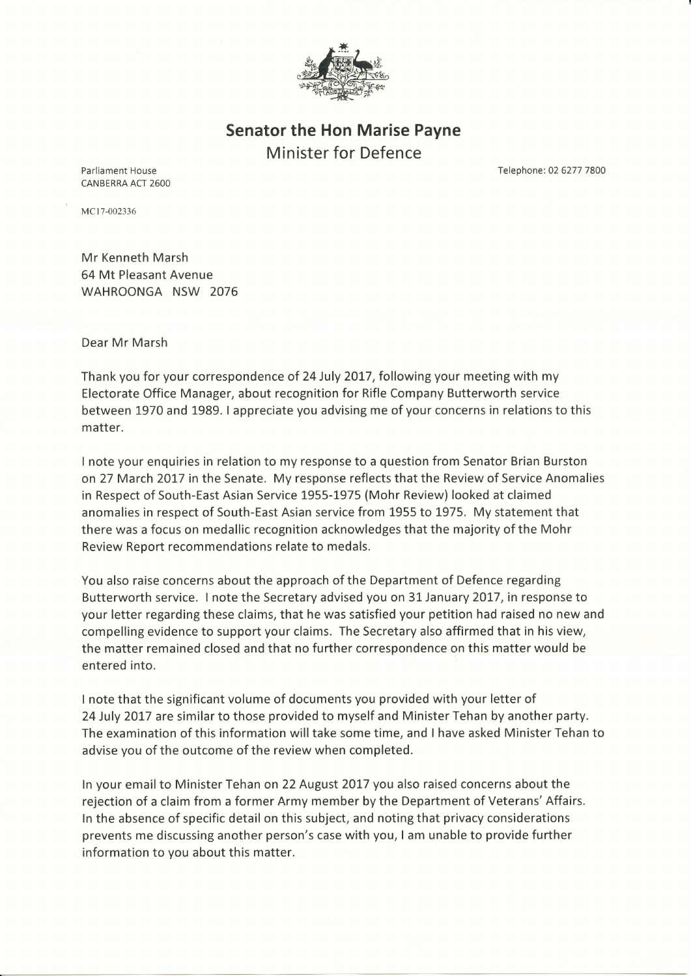

Senator the Hon Marise Payne Minister for Defence

Parliament House CANBERRA ACT 2600 Telephone: 02 6277 7800

MC17-002336

Mr Kenneth Marsh 64 Mt Pleasant Avenue WAHROONGA NSW 2076

Dear Mr Marsh

Thank you for your correspondence of 24 July 2017, following your meeting with my Electorate Office Manager, about recognition for Rifle Company Butterworth service between 1970 and 1989. I appreciate you advising me of your concerns in relations to this matter.

I note your enquiries in relation to my response to a question from Senator Brian Burston on 27 March 2017 in the Senate. My response reflects that the Review of Service Anomalies in Respect of South-East Asian Service 1955-1975 (Mohr Review) looked at claimed anomalies in respect of South-East Asian service from 1955 to 1975. My statement that there was a focus on medallic recognition acknowledges that the majority of the Mohr Review Report recommendations relate to medals.

You also raise concerns about the approach of the Department of Defence regarding Butterworth service. I note the Secretary advised you on 31 January 2017, in response to your letter regarding these claims, that he was satisfied your petition had raised no new and compelling evidence to support your claims. The Secretary also affirmed that in his view, the matter remained closed and that no further correspondence on this matter would be entered into.

I note that the significant volume of documents you provided with your letter of 24 July 2017 are similar to those provided to myself and Minister Tehan by another party. The examination of this information will take some time, and I have asked Minister Tehan to advise you of the outcome of the review when completed.

ln your email to Minister Tehan on 22 August 2OL7 you also raised concerns about the rejection of a claim from a former Army member by the Department of Veterans'Affairs. ln the absence of specific detail on this subject, and noting that privacy considerations prevents me discussing another person's case with you, I am unable to provide further information to you about this matter.